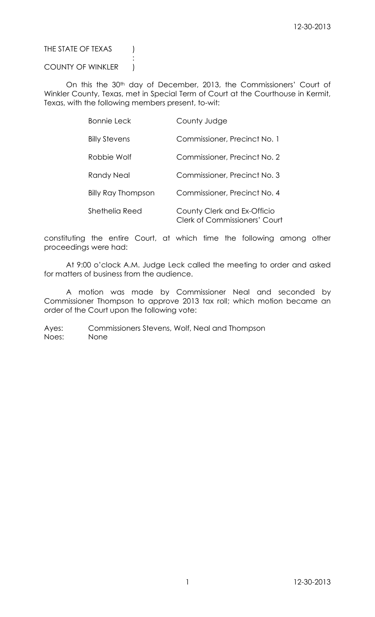THE STATE OF TEXAS (

COUNTY OF WINKLER |

:

On this the 30<sup>th</sup> day of December, 2013, the Commissioners' Court of Winkler County, Texas, met in Special Term of Court at the Courthouse in Kermit, Texas, with the following members present, to-wit:

| <b>Bonnie Leck</b>        | County Judge                                                        |
|---------------------------|---------------------------------------------------------------------|
| <b>Billy Stevens</b>      | Commissioner, Precinct No. 1                                        |
| Robbie Wolf               | Commissioner, Precinct No. 2                                        |
| Randy Neal                | Commissioner, Precinct No. 3                                        |
| <b>Billy Ray Thompson</b> | Commissioner, Precinct No. 4                                        |
| Shethelia Reed            | County Clerk and Ex-Officio<br><b>Clerk of Commissioners' Court</b> |

constituting the entire Court, at which time the following among other proceedings were had:

At 9:00 o'clock A.M. Judge Leck called the meeting to order and asked for matters of business from the audience.

A motion was made by Commissioner Neal and seconded by Commissioner Thompson to approve 2013 tax roll; which motion became an order of the Court upon the following vote:

Ayes: Commissioners Stevens, Wolf, Neal and Thompson Noes: None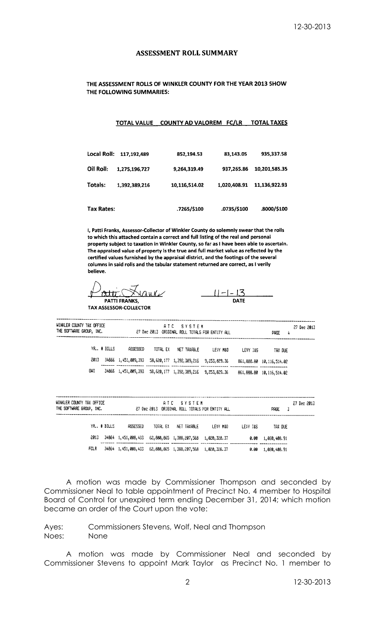## **ASSESSMENT ROLL SUMMARY**

## THE ASSESSMENT ROLLS OF WINKLER COUNTY FOR THE YEAR 2013 SHOW THE FOLLOWING SUMMARIES:

### TOTAL VALUE COUNTY AD VALOREM FC/LR TOTAL TAXES

| <b>Local Roll:</b> | 117.192.489   | 852,194.53    | 83,143.05    | 935,337.58    |
|--------------------|---------------|---------------|--------------|---------------|
| Oil Roll:          | 1,275,196,727 | 9,264,319.49  | 937,265.86   | 10,201,585.35 |
| Totals:            | 1,392,389,216 | 10,116,514.02 | 1.020.408.91 | 11.136,922.93 |
| Tax Rates:         |               | .7265/\$100   | .0735/\$100  | .8000/\$100   |

I, Patti Franks, Assessor-Collector of Winkler County do solemnly swear that the rolls to which this attached contain a correct and full listing of the real and personal property subject to taxation in Winkler County, so far as I have been able to ascertain. The appraised value of property is the true and full market value as reflected by the certified values furnished by the appraisal district, and the footings of the several columns in said rolls and the tabular statement returned are correct, as I verily believe.

<u>Attic (</u>  $\frac{1}{2}$ **PATTI FRANKS,** 

**TAX ASSESSOR-COLLECTOR** 

<u> 11-1-13</u> **DATE** 

| WINKLER COUNTY TAX OFFICE<br>THE SOFTWARE GROUP, INC. |                                                                      |          | ATC SYSTEM<br>27 Dec 2013 ORIGINAL ROLL TOTALS FOR ENTITY ALL |          |          | PAGE<br>4                    | 27 Dec 2013 |
|-------------------------------------------------------|----------------------------------------------------------------------|----------|---------------------------------------------------------------|----------|----------|------------------------------|-------------|
| YR. # BILLS                                           | ASSESSED                                                             | TOTAL EX | NET TAXABLE                                                   | LEVY M&D | LEVY I&S | tax die                      |             |
| 2013                                                  | 34866 1, 451, 009, 393 58, 620, 177 1, 392, 389, 216 9, 253, 829. 36 |          |                                                               |          |          | 861, 888.80 10, 116, 514.02  |             |
| GWI                                                   | 34866 1, 451, 009, 393 58, 620, 177 1, 392, 389, 216 9, 253, 829, 36 |          |                                                               |          |          | 861, 888.80 10, 115, 514, 02 |             |

| WINKLER CONNTY TAX OFFICE<br>THE SOFTWARE GROUP, INC. |                 |          | ATC SYSTEM<br>27 Dec 2013 ORIGINAL ROLL TOTALS FOR ENTITY ALL        |           |          | PAGE.<br>-3     | 27 Dec 2013 |
|-------------------------------------------------------|-----------------|----------|----------------------------------------------------------------------|-----------|----------|-----------------|-------------|
| YR., # BILLS                                          | <b>ASSESSED</b> | TOTAL EX | NET TAXABLE                                                          | I FUY MAN | LEUY IAS | TAX DUE         |             |
| -2013 -                                               |                 |          | 34864 1, 451, 008, 433 62, 800, 865 1, 388, 207, 568 1, 020, 328, 37 |           | G. 00    | 1, 020, 408, 91 |             |
| FCLR                                                  |                 |          | 34864 1, 451, 008, 433 62, 800, 865 1, 388, 207, 568 1, 020, 328, 37 |           | 0.00     | 1,020,408.91    |             |

A motion was made by Commissioner Thompson and seconded by Commissioner Neal to table appointment of Precinct No. 4 member to Hospital Board of Control for unexpired term ending December 31, 2014; which motion became an order of the Court upon the vote:

## Ayes: Commissioners Stevens, Wolf, Neal and Thompson Noes: None

A motion was made by Commissioner Neal and seconded by Commissioner Stevens to appoint Mark Taylor as Precinct No. 1 member to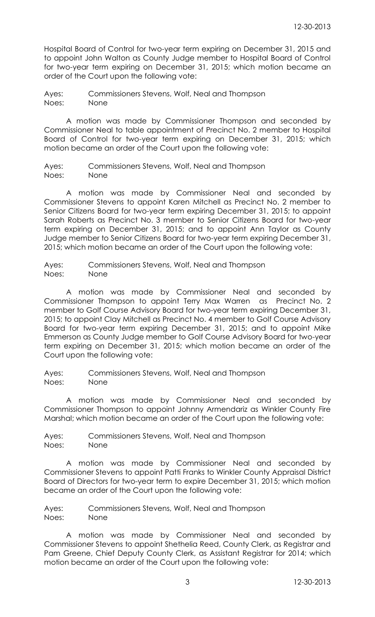Hospital Board of Control for two-year term expiring on December 31, 2015 and to appoint John Walton as County Judge member to Hospital Board of Control for two-year term expiring on December 31, 2015; which motion became an order of the Court upon the following vote:

Ayes: Commissioners Stevens, Wolf, Neal and Thompson Noes: None

A motion was made by Commissioner Thompson and seconded by Commissioner Neal to table appointment of Precinct No. 2 member to Hospital Board of Control for two-year term expiring on December 31, 2015; which motion became an order of the Court upon the following vote:

Ayes: Commissioners Stevens, Wolf, Neal and Thompson Noes: None

A motion was made by Commissioner Neal and seconded by Commissioner Stevens to appoint Karen Mitchell as Precinct No. 2 member to Senior Citizens Board for two-year term expiring December 31, 2015; to appoint Sarah Roberts as Precinct No. 3 member to Senior Citizens Board for two-year term expiring on December 31, 2015; and to appoint Ann Taylor as County Judge member to Senior Citizens Board for two-year term expiring December 31, 2015; which motion became an order of the Court upon the following vote:

Ayes: Commissioners Stevens, Wolf, Neal and Thompson Noes: None

A motion was made by Commissioner Neal and seconded by Commissioner Thompson to appoint Terry Max Warren as Precinct No. 2 member to Golf Course Advisory Board for two-year term expiring December 31, 2015; to appoint Clay Mitchell as Precinct No. 4 member to Golf Course Advisory Board for two-year term expiring December 31, 2015; and to appoint Mike Emmerson as County Judge member to Golf Course Advisory Board for two-year term expiring on December 31, 2015; which motion became an order of the Court upon the following vote:

Ayes: Commissioners Stevens, Wolf, Neal and Thompson Noes: None

A motion was made by Commissioner Neal and seconded by Commissioner Thompson to appoint Johnny Armendariz as Winkler County Fire Marshal; which motion became an order of the Court upon the following vote:

Ayes: Commissioners Stevens, Wolf, Neal and Thompson Noes: None

A motion was made by Commissioner Neal and seconded by Commissioner Stevens to appoint Patti Franks to Winkler County Appraisal District Board of Directors for two-year term to expire December 31, 2015; which motion became an order of the Court upon the following vote:

Ayes: Commissioners Stevens, Wolf, Neal and Thompson Noes: None

A motion was made by Commissioner Neal and seconded by Commissioner Stevens to appoint Shethelia Reed, County Clerk, as Registrar and Pam Greene, Chief Deputy County Clerk, as Assistant Registrar for 2014; which motion became an order of the Court upon the following vote: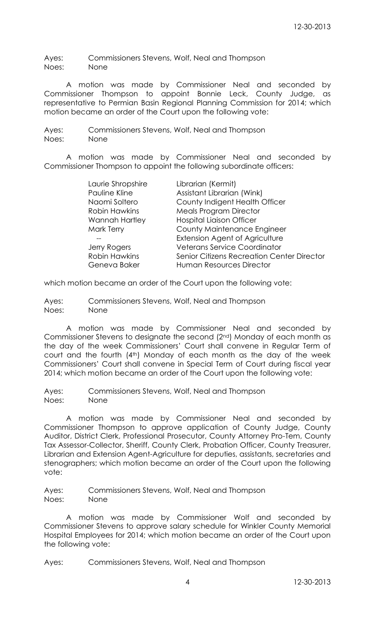Ayes: Commissioners Stevens, Wolf, Neal and Thompson Noes: None

A motion was made by Commissioner Neal and seconded by Commissioner Thompson to appoint Bonnie Leck, County Judge, as representative to Permian Basin Regional Planning Commission for 2014; which motion became an order of the Court upon the following vote:

Ayes: Commissioners Stevens, Wolf, Neal and Thompson Noes: None

A motion was made by Commissioner Neal and seconded by Commissioner Thompson to appoint the following subordinate officers:

| Laurie Shropshire     | Librarian (Kermit)                         |
|-----------------------|--------------------------------------------|
| Pauline Kline         | Assistant Librarian (Wink)                 |
| Naomi Soltero         | County Indigent Health Officer             |
| <b>Robin Hawkins</b>  | <b>Meals Program Director</b>              |
| <b>Wannah Hartley</b> | <b>Hospital Liaison Officer</b>            |
| <b>Mark Terry</b>     | <b>County Maintenance Engineer</b>         |
|                       | <b>Extension Agent of Agriculture</b>      |
| Jerry Rogers          | <b>Veterans Service Coordinator</b>        |
| <b>Robin Hawkins</b>  | Senior Citizens Recreation Center Director |
| Geneva Baker          | Human Resources Director                   |

which motion became an order of the Court upon the following vote:

Ayes: Commissioners Stevens, Wolf, Neal and Thompson Noes: None

A motion was made by Commissioner Neal and seconded by Commissioner Stevens to designate the second (2nd) Monday of each month as the day of the week Commissioners' Court shall convene in Regular Term of court and the fourth (4th) Monday of each month as the day of the week Commissioners' Court shall convene in Special Term of Court during fiscal year 2014; which motion became an order of the Court upon the following vote:

Ayes: Commissioners Stevens, Wolf, Neal and Thompson Noes: None

A motion was made by Commissioner Neal and seconded by Commissioner Thompson to approve application of County Judge, County Auditor, District Clerk, Professional Prosecutor, County Attorney Pro-Tem, County Tax Assessor-Collector, Sheriff, County Clerk, Probation Officer, County Treasurer, Librarian and Extension Agent-Agriculture for deputies, assistants, secretaries and stenographers; which motion became an order of the Court upon the following vote:

Ayes: Commissioners Stevens, Wolf, Neal and Thompson Noes: None

A motion was made by Commissioner Wolf and seconded by Commissioner Stevens to approve salary schedule for Winkler County Memorial Hospital Employees for 2014; which motion became an order of the Court upon the following vote:

Ayes: Commissioners Stevens, Wolf, Neal and Thompson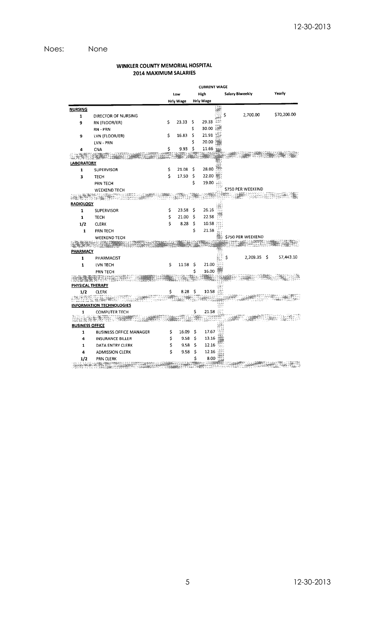# Noes: None

## WINKLER COUNTY MEMORIAL HOSPITAL 2014 MAXIMUM SALARIES

|                        |                                 | <b>CURRENT WAGE</b> |                  |    |                  |       |                   |             |
|------------------------|---------------------------------|---------------------|------------------|----|------------------|-------|-------------------|-------------|
|                        |                                 |                     | Low              |    | High             |       | Salary Biweekly   | Yearly      |
|                        |                                 |                     | <b>Hrly Wage</b> |    | <b>Hrly Wage</b> |       |                   |             |
| <b>NURSING</b>         |                                 |                     |                  |    |                  |       |                   |             |
| 1                      | DIRECTOR OF NURSING             |                     |                  |    |                  |       | 2,700.00<br>Ś     | \$70,200.00 |
| 9                      | RN (FLOOR/ER)                   | \$                  | 23.33            | s  | 29.33            | 348   |                   |             |
|                        | RN - PRN                        |                     |                  | \$ | 30.00            |       |                   |             |
| 9                      | LVN (FLOOR/ER)                  | \$                  | 16.83            | \$ | 21.91            |       |                   |             |
|                        | LVN - PRN                       |                     |                  | Ś  | 20.00            |       |                   |             |
| 4                      | CNA                             | \$                  | 9.93             | Ś  | 11.66            |       |                   |             |
|                        |                                 |                     |                  |    |                  |       |                   |             |
| LABORATORY             |                                 |                     |                  |    |                  |       |                   |             |
| $\mathbf 1$            | SUPERVISOR                      | \$                  | 21.08            | \$ | 28.00            |       |                   |             |
| 3                      | <b>TECH</b>                     | Ś                   | 17.50            | \$ | 22.00            |       |                   |             |
|                        | <b>PRN TECH</b>                 |                     |                  | \$ | 19.00 (2)        |       |                   |             |
|                        | <b>WEEKEND TECH</b>             |                     |                  |    |                  |       | \$750 PER WEEKEND |             |
|                        |                                 |                     |                  |    |                  |       |                   |             |
| <b>RADIOLOGY</b>       |                                 |                     |                  |    |                  |       |                   |             |
| 1                      | <b>SUPERVISOR</b>               | \$                  | 23.58            | \$ | 26.16            |       |                   |             |
| 1                      | <b>TECH</b>                     | \$                  | 21.00            | \$ | 22.58            |       |                   |             |
| 1/2                    | <b>CLERK</b>                    | \$                  | 8.28             | \$ | 10.58            |       |                   |             |
| $\mathbf{1}$           | PRN TECH                        |                     |                  | \$ | 21.58            |       |                   |             |
|                        | <b>WEEKEND TECH</b>             |                     |                  |    |                  |       | \$750 PER WEEKEND |             |
|                        |                                 |                     |                  |    |                  |       |                   |             |
| <b>PHARMACY</b>        |                                 |                     |                  |    |                  |       |                   |             |
| $\mathbf{1}$           | PHARMACIST                      |                     |                  |    |                  |       | 2,209.35 \$<br>\$ | 57,443.10   |
| 1                      | LVN TECH                        | \$                  | 11.58            | \$ | 21.00            |       |                   |             |
|                        | PRN TECH                        |                     |                  | Ś  | 16.00            |       |                   |             |
|                        |                                 |                     |                  |    |                  |       |                   |             |
| PHYSICAL THERAPY       |                                 |                     |                  |    |                  |       |                   |             |
| 1/2                    | <b>CLERK</b>                    | \$                  | 8.28             | Ś  | 10.58            |       |                   |             |
|                        |                                 |                     |                  |    |                  |       |                   |             |
|                        | <b>INFORMATION TECHNOLOGIES</b> |                     |                  |    |                  |       |                   |             |
| 1                      | <b>COMPUTER TECH</b>            |                     |                  | \$ | 21.58            |       |                   |             |
| 11 U.S. R. H. H.       | 4.40                            |                     |                  |    |                  |       |                   |             |
| <b>BUSINESS OFFICE</b> |                                 |                     |                  |    |                  |       |                   |             |
| 1                      | <b>BUSINESS OFFICE MANAGER</b>  | \$                  | 16.09            | \$ | 17.67            |       |                   |             |
| 4                      | <b>INSURANCE BILLER</b>         | \$                  | 9.58             | \$ | 13.16            |       |                   |             |
| 1                      | DATA ENTRY CLERK                | \$                  | 9.58             | \$ | 12.16            |       |                   |             |
| 4                      | <b>ADMISSION CLERK</b>          | \$                  | 9.58             | \$ | 12.16            |       |                   |             |
| 1/2                    | <b>PRN CLERK</b>                |                     |                  | Ś  | 8.00             | $+20$ |                   |             |

THE REPORT OF THE CONTROL COMPANY OF THE CONTROL OF THE CONTROL OF THE CONTROL CONTROL CONTROL OF THE CONTROL O<br>The Company of the Company of the Company of the Company of the Company of the Company of the Company of the C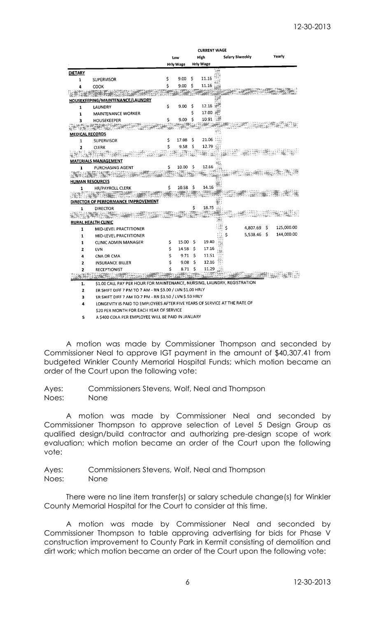|                |                                                                           |    |           |      | <b>CURRENT WAGE</b> |    |                 |     |            |
|----------------|---------------------------------------------------------------------------|----|-----------|------|---------------------|----|-----------------|-----|------------|
|                |                                                                           |    | Low       | High |                     |    | Salary Biweekly |     | Yearly     |
|                |                                                                           |    | Hrly Wage |      | Hrly Wage           |    |                 |     |            |
| <b>DIETARY</b> |                                                                           |    |           |      |                     |    |                 |     |            |
| 1              | <b>SUPERVISOR</b>                                                         | \$ | 9.00      | \$   | 11.16               |    |                 |     |            |
| 4              | COOK                                                                      | Ś  | 9.00      | Ś    | 11.16               |    |                 |     |            |
|                |                                                                           |    |           |      |                     |    |                 |     |            |
|                | HOUSEKEEPING/MAINTENANCE/LAUNDRY                                          |    |           |      |                     |    |                 |     |            |
| $\mathbf 1$    | LAUNDRY                                                                   | \$ | 9.00      | \$   | 12.16               |    |                 |     |            |
| 1              | <b>MAINTENANCE WORKER</b>                                                 |    |           | Ś    | 17.00               |    |                 |     |            |
| 3              | HOUSEKEEPER                                                               | \$ | 9.00      | Ś    | 10.91               |    |                 |     |            |
|                |                                                                           |    |           |      |                     |    |                 |     |            |
|                | <b>MEDICAL RECORDS</b>                                                    |    |           |      |                     |    |                 |     |            |
| 1              | <b>SUPERVISOR</b>                                                         | \$ | 17.08     | \$   | 21.06 00            |    |                 |     |            |
| $\overline{a}$ | <b>CLERK</b>                                                              | Ś  | 9.58      | \$   | 12.79               |    |                 |     |            |
|                |                                                                           |    |           |      |                     |    |                 |     |            |
|                | <b>MATERIALS MANAGEMENT</b>                                               |    |           |      |                     |    |                 |     |            |
| 1              | PURCHASING AGENT                                                          | \$ | 10.00     | - 5  | 12.66               |    |                 |     |            |
|                |                                                                           |    |           |      |                     |    |                 |     |            |
|                | <b>HUMAN RESOURCES</b>                                                    |    |           |      |                     |    |                 |     |            |
| 1              | HR/PAYROLL CLERK                                                          | Ś  | 10.58     | -\$  | 14.16               |    |                 |     |            |
|                |                                                                           |    |           |      |                     |    |                 |     |            |
|                | DIRECTOR OF PERFORMANCE IMPROVEMENT                                       |    |           |      |                     |    |                 |     |            |
| 1              | DIRECTOR                                                                  |    |           | \$   | 18.75               |    |                 |     |            |
|                |                                                                           |    |           |      |                     |    |                 |     |            |
|                | RURAL HEALTH CLINIC                                                       |    |           |      |                     |    |                 | \$. | 125,000.00 |
| 1              | MID-LEVEL PRACTITIONER                                                    |    |           |      |                     | \$ | 4,807.69        |     |            |
| 1              | MID-LEVEL PRACTITIONER                                                    |    |           |      |                     |    | 5,538.46        | s   | 144,000.00 |
| 1              | CLINIC ADMIN MANAGER                                                      | \$ | 15.00     | \$   | 19.40               |    |                 |     |            |
| 2              | LVN                                                                       | Ś  | 14.58     | Ś    | 17.16               |    |                 |     |            |
| 4              | CNA OR CMA                                                                | \$ | 9.71      | \$   | 11.51               |    |                 |     |            |
| 2              | <b>INSURANCE BILLER</b>                                                   |    | 9.08      | \$   | 12.16               |    |                 |     |            |
| 2              | <b>RECEPTIONIST</b>                                                       |    | 8.71      | Ś    | 11.29               |    |                 |     |            |
|                |                                                                           |    |           |      |                     |    |                 |     |            |
| 1.             | \$1.00 CALL PAY PER HOUR FOR MAINTENANCE, NURSING, LAUNDRY, REGISTRATION  |    |           |      |                     |    |                 |     |            |
| $\overline{2}$ | ER SHIFT DIFF 7 PM TO 7 AM - RN \$3.00 / LVN \$1.00 HRLY                  |    |           |      |                     |    |                 |     |            |
| 3              | ER SHIFT DIFF 7 AM TO 7 PM - RN \$1.50 / LVN \$.50 HRLY                   |    |           |      |                     |    |                 |     |            |
| 4              | LONGEVITY IS PAID TO EMPLOYEES AFTER FIVE YEARS OF SERVICE AT THE RATE OF |    |           |      |                     |    |                 |     |            |

\$20 PER MONTH FOR EACH YEAR OF SERVICE

5 A \$400 COLA PER EMPLOYEE WILL BE PAID IN JANUARY

A motion was made by Commissioner Thompson and seconded by Commissioner Neal to approve IGT payment in the amount of \$40,307.41 from budgeted Winkler County Memorial Hospital Funds; which motion became an order of the Court upon the following vote:

Ayes: Commissioners Stevens, Wolf, Neal and Thompson Noes: None

A motion was made by Commissioner Neal and seconded by Commissioner Thompson to approve selection of Level 5 Design Group as qualified design/build contractor and authorizing pre-design scope of work evaluation; which motion became an order of the Court upon the following vote:

Ayes: Commissioners Stevens, Wolf, Neal and Thompson Noes: None

There were no line item transfer(s) or salary schedule change(s) for Winkler County Memorial Hospital for the Court to consider at this time.

A motion was made by Commissioner Neal and seconded by Commissioner Thompson to table approving advertising for bids for Phase V construction improvement to County Park in Kermit consisting of demolition and dirt work; which motion became an order of the Court upon the following vote: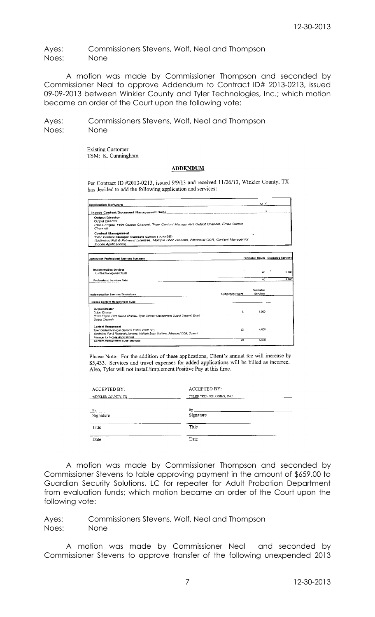Ayes: Commissioners Stevens, Wolf, Neal and Thompson Noes: None

A motion was made by Commissioner Thompson and seconded by Commissioner Neal to approve Addendum to Contract ID# 2013-0213, issued 09-09-2013 between Winkler County and Tyler Technologies, Inc.; which motion became an order of the Court upon the following vote:

Ayes: Commissioners Stevens, Wolf, Neal and Thompson Noes: None

> **Existing Customer** TSM: K. Cunningham

### **ADDENDUM**

Per Contract ID #2013-0213, issued 9/9/13 and received 11/26/13, Winkler County, TX has decided to add the following application and services:

| <b>Application Software</b>                                                                                                                                                                      |                        | QTY                          |                                    |
|--------------------------------------------------------------------------------------------------------------------------------------------------------------------------------------------------|------------------------|------------------------------|------------------------------------|
|                                                                                                                                                                                                  |                        |                              | 1                                  |
| <b>Output Director</b><br>Output Director<br>(Base Engine, Print Output Channel, Tyler Content Management Output Channel, Email Output<br>Channel)                                               |                        |                              |                                    |
| Content Management<br>Tyler Content Manager Standard Edition (TCM SE)<br>(Unlimited Full & Retrieval Licenses, Multiple Scan Stations, Advanced OCR, Content Manager for<br>Incode Applications) |                        |                              |                                    |
| Application Professional Services Summary                                                                                                                                                        |                        |                              | Estimated Hours Estimated Services |
| <b>Implementation Services</b><br>Content Management Suite                                                                                                                                       | ×                      | 40                           | 5.000                              |
| Professional Services Total                                                                                                                                                                      |                        | 40                           | 5,000                              |
| Implementation Services Breakdown                                                                                                                                                                | <b>Estimated Hours</b> | <b>Estimated</b><br>Services |                                    |
| Incode Content Management Suite                                                                                                                                                                  |                        |                              |                                    |
| <b>Output Director</b><br><b>Output Director</b><br>(Base Engine, Print Output Channel, Tyler Content Management Output Channel, Email                                                           | 8                      | 1,000                        |                                    |

Please Note: For the addition of these applications, Client's annual fee will increase by \$5,433. Services and travel expenses for added applications will be billed as incurred. Also, Tyler will not install/implement Positive Pay at this time.

4,000

 $5.000$ 

32

 $\overline{40}$ 

| <b>ACCEPTED BY:</b> | <b>ACCEPTED BY:</b>      |  |  |  |  |
|---------------------|--------------------------|--|--|--|--|
| WINKLER COUNTY, TX  | TYLER TECHNOLOGIES, INC. |  |  |  |  |
| $Bv$ :              | By:                      |  |  |  |  |
| Signature           | Signature                |  |  |  |  |
| Title               | Title                    |  |  |  |  |
| Date                | Date                     |  |  |  |  |

A motion was made by Commissioner Thompson and seconded by Commissioner Stevens to table approving payment in the amount of \$659.00 to Guardian Security Solutions, LC for repeater for Adult Probation Department from evaluation funds; which motion became an order of the Court upon the following vote:

Ayes: Commissioners Stevens, Wolf, Neal and Thompson Noes: None

Con**tent Management**<br>Tyler Content Manager Standard Edition (TCM SE)<br>(Unlimited Full & Ratrieval Licenses, Multiple Scan Stations, Advanced OCR, Conte

sper for Incode Applications)<br>tent Management Suite Subtotal

A motion was made by Commissioner Neal and seconded by Commissioner Stevens to approve transfer of the following unexpended 2013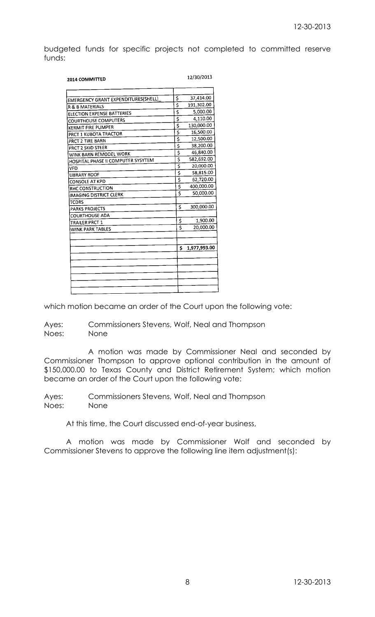budgeted funds for specific projects not completed to committed reserve funds:

| <b>2014 COMMITTED</b>                      |                                     | 12/30/2013   |
|--------------------------------------------|-------------------------------------|--------------|
|                                            |                                     |              |
| <b>EMERGENCY GRANT EXPENDITURES(SHELL)</b> | \$                                  | 37,414.00    |
| R & B MATERIALS                            | $\overline{\mathsf{s}}$             | 191,302.00   |
| <b>ELECTION EXPENSE BATTERIES</b>          | \$                                  | 5,000.00     |
| <b>COURTHOUSE COMPUTERS</b>                | Ŝ                                   | 4,110.00     |
| KERMIT FIRE PUMPER                         | \$                                  | 130,000.00   |
| PRCT 1 KUBOTA TRACTOR                      | \$                                  | 16,500.00    |
| PRCT 2 TIRE BARN                           | Ŝ                                   | 12,500.00    |
| PRCT 2 SKID STEER                          | \$                                  | 38,200.00    |
| WINK BARN REMODEL WORK                     | $\overline{\mathsf{s}}$             | 46,840.00    |
| HOSPITAL PHASE II COMPUTER SYSYTEM         | 3                                   | 582,692.00   |
| VFD                                        | \$                                  | 20,000.00    |
| <b>LIBRARY ROOF</b>                        | \$                                  | 58,815.00    |
| <b>CONSOLE AT KPD</b>                      | š                                   | 62,720.00    |
| RHC CONSTRUCTION                           | Ş                                   | 400,000.00   |
| <b>IMAGING DISTRICT CLERK</b>              | $\overline{\boldsymbol{\varsigma}}$ | 50,000.00    |
| <b>TCDRS</b>                               |                                     |              |
| <b>PARKS PROJECTS</b>                      | Ś                                   | 300,000.00   |
| <b>COURTHOUSE ADA</b>                      |                                     |              |
| <b>TRAILER PRCT 1</b>                      | \$                                  | 1,900.00     |
| WINK PARK TABLES                           | Ś                                   | 20,000.00    |
|                                            |                                     |              |
|                                            |                                     |              |
|                                            | Ś                                   | 1,977,993.00 |
|                                            |                                     |              |
|                                            |                                     |              |
|                                            |                                     |              |
|                                            |                                     |              |
|                                            |                                     |              |
|                                            |                                     |              |

which motion became an order of the Court upon the following vote:

Ayes: Commissioners Stevens, Wolf, Neal and Thompson Noes: None

A motion was made by Commissioner Neal and seconded by Commissioner Thompson to approve optional contribution in the amount of \$150,000.00 to Texas County and District Retirement System; which motion became an order of the Court upon the following vote:

Ayes: Commissioners Stevens, Wolf, Neal and Thompson Noes: None

At this time, the Court discussed end-of-year business,

A motion was made by Commissioner Wolf and seconded by Commissioner Stevens to approve the following line item adjustment(s):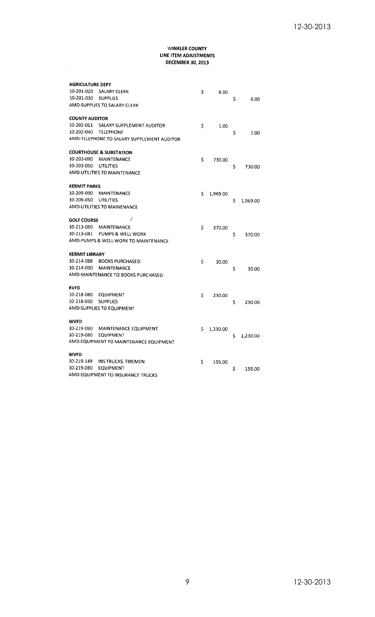$\sim$ 

| <b>AGRICULTURE DEPT</b> |                                            |    |          |    |          |
|-------------------------|--------------------------------------------|----|----------|----|----------|
| 10-201-020              | SALARY CLERK                               | \$ | 6.00     |    |          |
| 10-201-030              | <b>SUPPLIES</b>                            |    |          | \$ | 6.00     |
|                         | AMD-SUPPLIES TO SALARY CLERK               |    |          |    |          |
| <b>COUNTY AUDITOR</b>   |                                            |    |          |    |          |
| 10-202-011              | SALARY SUPPLEMENT AUDITOR                  | \$ | 1.00     |    |          |
| 10-202-040              | <b>TELEPHONE</b>                           |    |          | \$ | 1.00     |
|                         | AMD-TELEPHONE TO SALARY SUPPLEMENT AUDITOR |    |          |    |          |
|                         | <b>COURTHOUSE &amp; SUBSTATION</b>         |    |          |    |          |
| 10-203-090              | <b>MAINTENANCE</b>                         | \$ | 730.00   |    |          |
| 10-203-050              | <b>UTILITIES</b>                           |    |          | \$ | 730.00   |
|                         | AMD-UTILITIES TO MAINTENANCE               |    |          |    |          |
| KERMIT PARKS            |                                            |    |          |    |          |
| 10-209-090              | <b>MAINTENANCE</b>                         | Ś  | 1,969.00 |    |          |
| 10-209-050              | <b>UTILITIES</b>                           |    |          | \$ | 1,969.00 |
|                         | <b>AMD-UTILITIES TO MAINENANCE</b>         |    |          |    |          |
| <b>GOLF COURSE</b>      | 7                                          |    |          |    |          |
| 10-213-090              | MAINTENANCE                                | \$ | 370.00   |    |          |
| 10-213-081              | PUMPS & WELL WORK                          |    |          | \$ | 370.00   |
|                         | AMD-PUMPS & WELL WORK TO MAINTENANCE       |    |          |    |          |
| KERMIT LIBRARY          |                                            |    |          |    |          |
| 10-214-088              | <b>BOOKS PURCHASED</b>                     | Ś  | 30.00    |    |          |
| 10-214-090              | <b>MAINTENANCE</b>                         |    |          | \$ | 30.00    |
|                         | AMD-MAINTENANCE TO BOOKS PURCHASED         |    |          |    |          |
| KVFD                    |                                            |    |          |    |          |
| 10-218-080              | <b>EQUIPMENT</b>                           | Ś  | 230.00   |    |          |
| 10-218-030              | <b>SUPPLIES</b>                            |    |          | \$ | 230.00   |
|                         | AMD-SUPPLIES TO EQUIPMENT                  |    |          |    |          |
| WVFD                    |                                            |    |          |    |          |
|                         | 10-219-090 MAINTENANCE EQUIPMENT           | Ś  | 1,230.00 |    |          |
| 10-219-080              | <b>EQUIPMENT</b>                           |    |          | Ś  | 1.230.00 |
|                         | AMD-EQUIPMENT TO MAINTENANCE EQUIPMENT     |    |          |    |          |
| WVFD                    |                                            |    |          |    |          |
| 10-219-149              | INS TRUCKS, FIREMEN                        | \$ | 155.00   |    |          |
| 10-219-080              | <b>EQUIPMENT</b>                           |    |          | \$ | 155.00   |
|                         | AMD-EQUIPMENT TO INSURANCE TRUCKS          |    |          |    |          |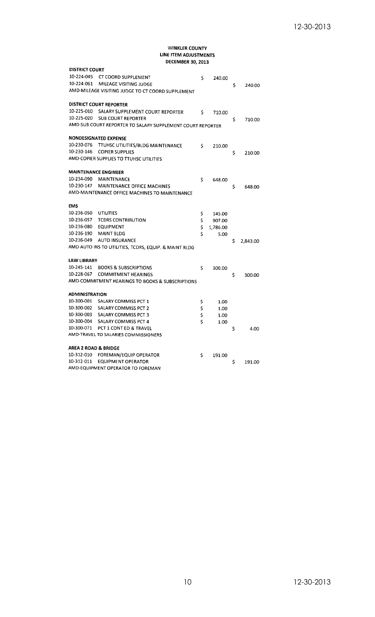| <b>DISTRICT COURT</b>           |                                                            |    |          |    |          |
|---------------------------------|------------------------------------------------------------|----|----------|----|----------|
| 10-224-045                      | CT COORD SUPPLEMENT                                        | Ś  | 240.00   |    |          |
| 10-224-061                      | MILEAGE VISITING JUDGE                                     |    |          | \$ | 240.00   |
|                                 | AMD-MILEAGE VISITING JUDGE TO CT COORD SUPPLEMENT          |    |          |    |          |
|                                 | <b>DISTRICT COURT REPORTER</b>                             |    |          |    |          |
| 10-225-010                      | SALARY SUPPLEMENT COURT REPORTER                           | \$ | 710.00   |    |          |
| 10-225-020                      | <b>SUB COURT REPORTER</b>                                  |    |          | \$ | 710.00   |
|                                 | AMD-SUB COURT REPORTER TO SALARY SUPPLEMENT COURT REPORTER |    |          |    |          |
|                                 | <b>NONDESIGNATED EXPENSE</b>                               |    |          |    |          |
| 10-230-076                      | TTUHSC UTILITIES/BLDG MAINTENANCE                          | \$ | 210.00   |    |          |
| 10-230-146                      | <b>COPIER SUPPLIES</b>                                     |    |          | Ś  | 210.00   |
|                                 | AMD-COPIER SUPPLIES TO TTUHSC UTILITIES                    |    |          |    |          |
| <b>MAINTENANCE ENGINEER</b>     |                                                            |    |          |    |          |
| 10-234-090                      | <b>MAINTENANCE</b>                                         | \$ | 648.00   |    |          |
| 10-230-147                      | MAINTENANCE OFFICE MACHINES                                |    |          | \$ | 648.00   |
|                                 | AMD-MAINTENANCE OFFICE MACHINES TO MAINTENANCE             |    |          |    |          |
| <b>EMS</b>                      |                                                            |    |          |    |          |
| 10-236-050                      | <b>UTILITIES</b>                                           | Ş  | 145.00   |    |          |
| 10-236-057                      | <b>TCDRS CONTRIBUTION</b>                                  | \$ | 907.00   |    |          |
| 10-236-080                      | <b>EQUIPMENT</b>                                           | \$ | 1,786.00 |    |          |
| 10-236-190                      | <b>MAINT BLDG</b>                                          | Ś  | 5.00     |    |          |
| 10-236-049                      | <b>AUTO INSURANCE</b>                                      |    |          | \$ | 2,843.00 |
|                                 | AMD-AUTO INS TO UTILITIES, TCDRS, EQUIP. & MAINT BLDG      |    |          |    |          |
| <b>LAW LIBRARY</b>              |                                                            |    |          |    |          |
| 10-245-141                      | <b>BOOKS &amp; SUBSCRIPTIONS</b>                           | Ś  | 300.00   |    |          |
| 10-228-067                      | <b>COMMITMENT HEARINGS</b>                                 |    |          | \$ | 300.00   |
|                                 | AMD-COMMITMENT HEARINGS TO BOOKS & SUBSCRIPTIONS           |    |          |    |          |
| <b>ADMINISTRATION</b>           |                                                            |    |          |    |          |
| 10-300-001                      | <b>SALARY COMMISS PCT 1</b>                                | \$ | 1.00     |    |          |
| 10-300-002                      | SALARY COMMISS PCT 2                                       | \$ | 1.00     |    |          |
| 10-300-003                      | <b>SALARY COMMISS PCT 3</b>                                | \$ | 1.00     |    |          |
|                                 | 10-300-004 SALARY COMMISS PCT 4                            | Ś  | 1.00     |    |          |
| 10-300-071                      | PCT 1 CONT ED & TRAVEL                                     |    |          | \$ | 4.00     |
|                                 | AMD-TRAVEL TO SALARIES COMMISSIONERS                       |    |          |    |          |
| <b>AREA 2 ROAD &amp; BRIDGE</b> |                                                            |    |          |    |          |
| 10-312-010                      | <b>FOREMAN/EQUIP OPERATOR</b>                              | \$ | 191.00   |    |          |
| 10-312-011                      | <b>EQUIPMENT OPERATOR</b>                                  |    |          | \$ | 191.00   |
|                                 | AMD-EQUIPMENT OPERATOR TO FOREMAN                          |    |          |    |          |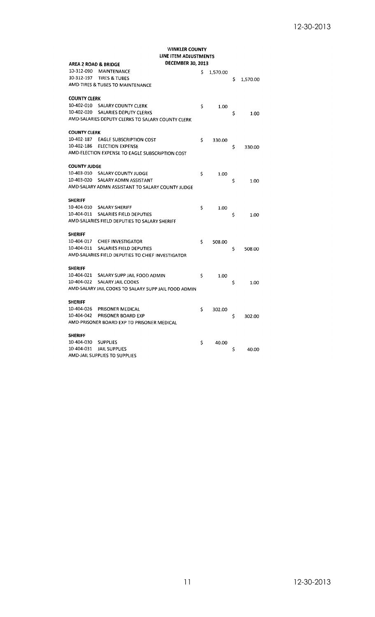| AREA 2 ROAD & BRIDGE |                                                      | <b>DECEMBER 30, 2013</b> |          |    |          |
|----------------------|------------------------------------------------------|--------------------------|----------|----|----------|
| 10-312-090           | MAINTENANCE                                          | \$                       | 1.570.00 |    |          |
| 10-312-197           | <b>TIRES &amp; TUBES</b>                             |                          |          | \$ | 1,570.00 |
|                      | AMD-TIRES & TUBES TO MAINTENANCE                     |                          |          |    |          |
| <b>COUNTY CLERK</b>  |                                                      |                          |          |    |          |
| 10-402-010           | <b>SALARY COUNTY CLERK</b>                           | \$                       | 1.00     |    |          |
| 10-402-020           | SALARIES DEPUTY CLERKS                               |                          |          | Ś  | 1.00     |
|                      | AMD-SALARIES DEPUTY CLERKS TO SALARY COUNTY CLERK    |                          |          |    |          |
| <b>COUNTY CLERK</b>  |                                                      |                          |          |    |          |
| 10-402-187           | <b>EAGLE SUBSCRIPTION COST</b>                       | Ś                        | 330.00   |    |          |
| 10-402-186           | <b>ELECTION EXPENSE</b>                              |                          |          | \$ | 330.00   |
|                      | AMD-ELECTION EXPENSE TO EAGLE SUBSCRIPTION COST      |                          |          |    |          |
| <b>COUNTY JUDGE</b>  |                                                      |                          |          |    |          |
| 10-403-010           | <b>SALARY COUNTY JUDGE</b>                           | \$                       | 1.00     |    |          |
| 10-403-020           | SALARY ADMN ASSISTANT                                |                          |          | \$ | 1.00     |
|                      | AMD-SALARY ADMN ASSISTANT TO SALARY COUNTY JUDGE     |                          |          |    |          |
| <b>SHERIFF</b>       |                                                      |                          |          |    |          |
| 10-404-010           | <b>SALARY SHERIFF</b>                                | \$                       | 1.00     |    |          |
| 10-404-011           | SALARIES FIELD DEPUTIES                              |                          |          | \$ | 1.00     |
|                      | AMD-SALARIES FIELD DEPUTIES TO SALARY SHERIFF        |                          |          |    |          |
| <b>SHERIFF</b>       |                                                      |                          |          |    |          |
| 10-404-017           | <b>CHIEF INVESTIGATOR</b>                            | \$                       | 508.00   |    |          |
| 10-404-011           | <b>SALARIES FIELD DEPUTIES</b>                       |                          |          | \$ | 508.00   |
|                      | AMD-SALARIES FIELD DEPUTIES TO CHIEF INVESTIGATOR    |                          |          |    |          |
| <b>SHERIFF</b>       |                                                      |                          |          |    |          |
| 10-404-021           | SALARY SUPP JAIL FOOD ADMIN                          | \$                       | 1.00     |    |          |
| 10-404-022           | SALARY JAIL COOKS                                    |                          |          | \$ | 1.00     |
|                      | AMD-SALARY JAIL COOKS TO SALARY SUPP JAIL FOOD ADMIN |                          |          |    |          |
| <b>SHERIFF</b>       |                                                      |                          |          |    |          |
| 10-404-026           | PRISONER MEDICAL                                     | Ś                        | 302.00   |    |          |
| 10-404-042           | PRISONER BOARD EXP                                   |                          |          | \$ | 302.00   |
|                      | AMD-PRISONER BOARD EXP TO PRISONER MEDICAL           |                          |          |    |          |
| <b>SHERIFF</b>       |                                                      |                          |          |    |          |
| 10-404-030           | <b>SUPPLIES</b>                                      | \$                       | 40.00    |    |          |
| 10-404-031           | <b>JAIL SUPPLIES</b>                                 |                          |          | Ś  | 40.00    |
|                      | AMD-JAIL SUPPLIES TO SUPPLIES                        |                          |          |    |          |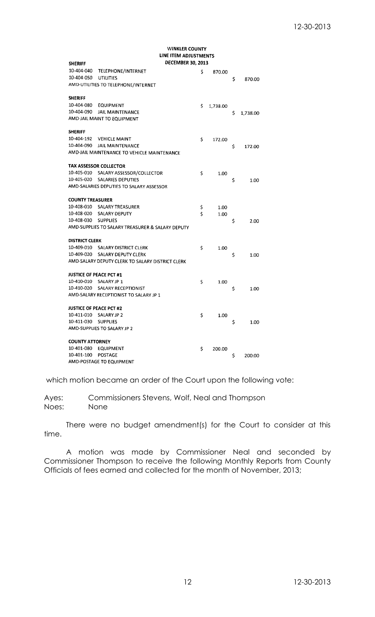| <b>SHERIFF</b>                      | DECEMBER 30, 2013                                |    |          |    |          |  |  |  |
|-------------------------------------|--------------------------------------------------|----|----------|----|----------|--|--|--|
| 10-404-040                          | TELEPHONE/INTERNET                               | Ś  | 870.00   |    |          |  |  |  |
| 10-404-050                          | <b>UTILITIES</b>                                 |    |          | \$ | 870.00   |  |  |  |
| AMD-UTILITIES TO TELEPHONE/INTERNET |                                                  |    |          |    |          |  |  |  |
| <b>SHERIFF</b>                      |                                                  |    |          |    |          |  |  |  |
| 10-404-080                          | <b>EQUIPMENT</b>                                 | \$ | 1,738.00 |    |          |  |  |  |
| 10-404-090                          | JAIL MAINTENANCE                                 |    |          | \$ | 1,738.00 |  |  |  |
|                                     | AMD-JAIL MAINT TO EQUIPMENT                      |    |          |    |          |  |  |  |
| <b>SHERIFF</b>                      |                                                  |    |          |    |          |  |  |  |
| 10-404-192                          | <b>VEHICLE MAINT</b>                             | \$ | 172,00   |    |          |  |  |  |
| 10-404-090                          | JAIL MAINTENANCE                                 |    |          | \$ | 172.00   |  |  |  |
|                                     | AMD-JAIL MAINTENANCE TO VEHICLE MAINTENANCE      |    |          |    |          |  |  |  |
|                                     | TAX ASSESSOR COLLECTOR                           |    |          |    |          |  |  |  |
| 10-405-010                          | SALARY ASSESSOR/COLLECTOR                        | \$ | 1.00     |    |          |  |  |  |
| 10-405-020                          | <b>SALARIES DEPUTIES</b>                         |    |          | \$ | 1.00     |  |  |  |
|                                     | AMD-SALARIES DEPUTIES TO SALARY ASSESSOR         |    |          |    |          |  |  |  |
| <b>COUNTY TREASURER</b>             |                                                  |    |          |    |          |  |  |  |
| 10-408-010                          | SALARY TREASURER                                 | Ş  | 1.00     |    |          |  |  |  |
| 10-408-020                          | SALARY DEPUTY                                    | \$ | 1.00     |    |          |  |  |  |
| 10-408-030                          | <b>SUPPLIES</b>                                  |    |          | \$ | 2.00     |  |  |  |
|                                     | AMD-SUPPLIES TO SALARY TREASURER & SALARY DEPUTY |    |          |    |          |  |  |  |
| <b>DISTRICT CLERK</b>               |                                                  |    |          |    |          |  |  |  |
| 10-409-010                          | <b>SALARY DISTRICT CLERK</b>                     | \$ | 1.00     |    |          |  |  |  |
| 10-409-020                          | <b>SALARY DEPUTY CLERK</b>                       |    |          | \$ | 1.00     |  |  |  |
|                                     | AMD-SALARY DEPUTY CLERK TO SALARY DISTRICT CLERK |    |          |    |          |  |  |  |
| <b>JUSTICE OF PEACE PCT #1</b>      |                                                  |    |          |    |          |  |  |  |
| 10-410-010 SALARY JP 1              |                                                  | \$ | 1.00     |    |          |  |  |  |
| 10-410-020                          | <b>SALARY RECEPTIONIST</b>                       |    |          | \$ | 1.00     |  |  |  |
|                                     | AMD-SALARY RECEPTIONIST TO SALARY JP 1           |    |          |    |          |  |  |  |
| <b>JUSTICE OF PEACE PCT #2</b>      |                                                  |    |          |    |          |  |  |  |
| 10-411-010                          | SALARY JP 2                                      | \$ | 1.00     |    |          |  |  |  |
| 10-411-030                          | <b>SUPPLIES</b>                                  |    |          | \$ | 1.00     |  |  |  |
|                                     | AMD-SUPPLIES TO SALARY JP 2                      |    |          |    |          |  |  |  |
| <b>COUNTY ATTORNEY</b>              |                                                  |    |          |    |          |  |  |  |
| 10-401-080                          | <b>EQUIPMENT</b>                                 | Ś  | 200.00   |    |          |  |  |  |
| 10-401-100                          | <b>POSTAGE</b>                                   |    |          | s  | 200.00   |  |  |  |
|                                     | <b>AMD-POSTAGE TO EQUIPMENT</b>                  |    |          |    |          |  |  |  |

which motion became an order of the Court upon the following vote:

Ayes: Commissioners Stevens, Wolf, Neal and Thompson Noes: None

There were no budget amendment(s) for the Court to consider at this time.

A motion was made by Commissioner Neal and seconded by Commissioner Thompson to receive the following Monthly Reports from County Officials of fees earned and collected for the month of November, 2013;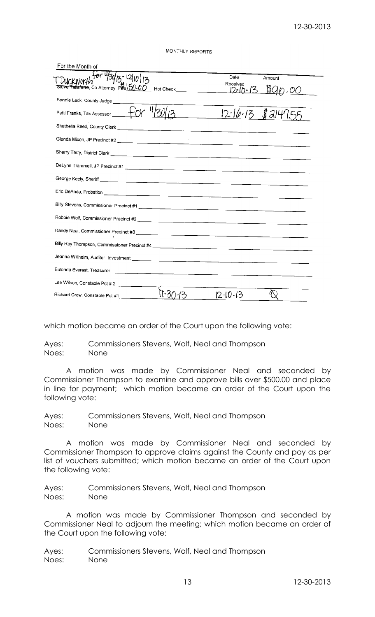MONTHLY REPORTS

| For the Month of                                                        |                              |                                 |        |  |  |  |  |  |
|-------------------------------------------------------------------------|------------------------------|---------------------------------|--------|--|--|--|--|--|
| ብር ዛ<br>Taliaferre, Co Attorney Pee 150.0                               | _ Hot Check_________________ | Date<br>Received<br>$12 - 10 -$ | Amount |  |  |  |  |  |
| Bonnie Leck, County Judge                                               |                              |                                 |        |  |  |  |  |  |
| -0<br>Patti Franks, Tax Assessor ______ +0Y                             | <u>and</u> and the state     | $12 - 16 - 13$                  | JZH    |  |  |  |  |  |
|                                                                         |                              |                                 |        |  |  |  |  |  |
|                                                                         |                              |                                 |        |  |  |  |  |  |
|                                                                         |                              |                                 |        |  |  |  |  |  |
|                                                                         |                              |                                 |        |  |  |  |  |  |
|                                                                         |                              |                                 |        |  |  |  |  |  |
|                                                                         |                              |                                 |        |  |  |  |  |  |
|                                                                         |                              |                                 |        |  |  |  |  |  |
|                                                                         |                              |                                 |        |  |  |  |  |  |
| Randy Neal, Commissioner Precinct #3<br>Annual Commissioner Precinct #3 |                              |                                 |        |  |  |  |  |  |
|                                                                         |                              |                                 |        |  |  |  |  |  |
|                                                                         |                              |                                 |        |  |  |  |  |  |
|                                                                         |                              |                                 |        |  |  |  |  |  |
| Lee Wilson, Constable Pct # 2_______________                            |                              |                                 |        |  |  |  |  |  |
| Richard Crow, Constable Pct #1_____                                     |                              | $12 - 10 - 13$                  |        |  |  |  |  |  |

which motion became an order of the Court upon the following vote:

Ayes: Commissioners Stevens, Wolf, Neal and Thompson Noes: None

A motion was made by Commissioner Neal and seconded by Commissioner Thompson to examine and approve bills over \$500.00 and place in line for payment; which motion became an order of the Court upon the following vote:

Ayes: Commissioners Stevens, Wolf, Neal and Thompson Noes: None

A motion was made by Commissioner Neal and seconded by Commissioner Thompson to approve claims against the County and pay as per list of vouchers submitted; which motion became an order of the Court upon the following vote:

Ayes: Commissioners Stevens, Wolf, Neal and Thompson Noes: None

A motion was made by Commissioner Thompson and seconded by Commissioner Neal to adjourn the meeting; which motion became an order of the Court upon the following vote:

Ayes: Commissioners Stevens, Wolf, Neal and Thompson Noes: None